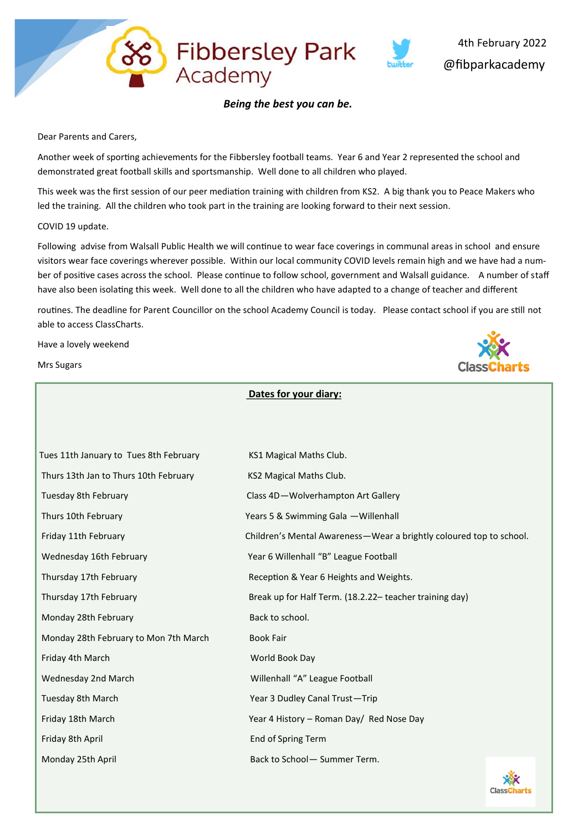

#### *Being the best you can be.*

Fibbersley Park<br>Academy

Dear Parents and Carers,

Another week of sporting achievements for the Fibbersley football teams. Year 6 and Year 2 represented the school and demonstrated great football skills and sportsmanship. Well done to all children who played.

This week was the first session of our peer mediation training with children from KS2. A big thank you to Peace Makers who led the training. All the children who took part in the training are looking forward to their next session.

#### COVID 19 update.

Following advise from Walsall Public Health we will continue to wear face coverings in communal areas in school and ensure visitors wear face coverings wherever possible. Within our local community COVID levels remain high and we have had a number of positive cases across the school. Please continue to follow school, government and Walsall guidance. A number of staff have also been isolating this week. Well done to all the children who have adapted to a change of teacher and different

routines. The deadline for Parent Councillor on the school Academy Council is today. Please contact school if you are still not able to access ClassCharts.

**Dates for your diary:**

Have a lovely weekend

Mrs Sugars



| Tues 11th January to Tues 8th February                                            | KS1 Magical Maths Club.                                             |    |  |  |
|-----------------------------------------------------------------------------------|---------------------------------------------------------------------|----|--|--|
| Thurs 13th Jan to Thurs 10th February                                             | KS2 Magical Maths Club.                                             |    |  |  |
| Tuesday 8th February                                                              | Class 4D-Wolverhampton Art Gallery                                  |    |  |  |
| Thurs 10th February                                                               | Years 5 & Swimming Gala - Willenhall                                |    |  |  |
| Friday 11th February                                                              | Children's Mental Awareness-Wear a brightly coloured top to school. |    |  |  |
| Wednesday 16th February                                                           | Year 6 Willenhall "B" League Football                               |    |  |  |
| Thursday 17th February<br>Reception & Year 6 Heights and Weights.                 |                                                                     |    |  |  |
| Thursday 17th February<br>Break up for Half Term. (18.2.22- teacher training day) |                                                                     |    |  |  |
| Monday 28th February                                                              | Back to school.                                                     |    |  |  |
| Monday 28th February to Mon 7th March                                             | <b>Book Fair</b>                                                    |    |  |  |
| Friday 4th March                                                                  | World Book Day                                                      |    |  |  |
| Wednesday 2nd March                                                               | Willenhall "A" League Football                                      |    |  |  |
| Tuesday 8th March                                                                 | Year 3 Dudley Canal Trust-Trip                                      |    |  |  |
| Friday 18th March                                                                 | Year 4 History - Roman Day/ Red Nose Day                            |    |  |  |
| Friday 8th April                                                                  | End of Spring Term                                                  |    |  |  |
| Monday 25th April                                                                 | Back to School- Summer Term.                                        |    |  |  |
|                                                                                   |                                                                     | رق |  |  |

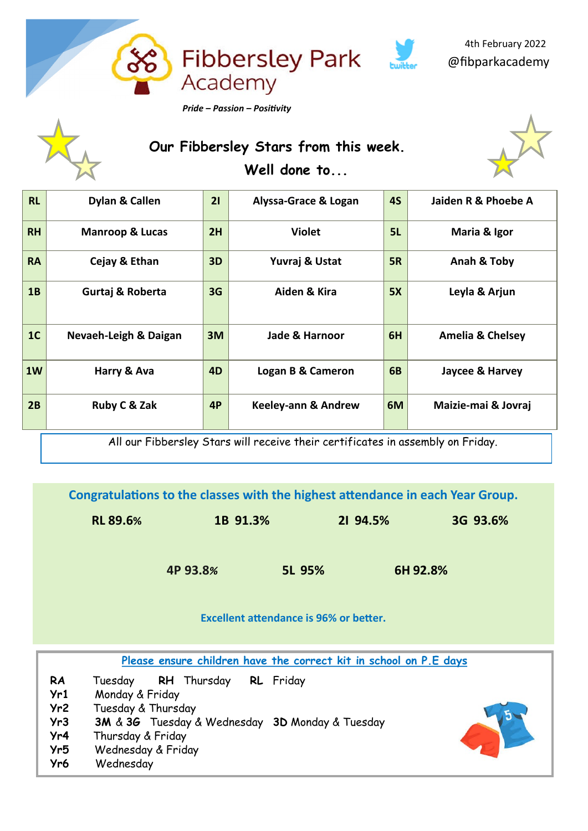

# **Our Fibbersley Stars from this week. Well done to...**



| <b>RL</b>      | Dylan & Callen             | 21             | Alyssa-Grace & Logan           | <b>4S</b> | Jaiden R & Phoebe A         |
|----------------|----------------------------|----------------|--------------------------------|-----------|-----------------------------|
| <b>RH</b>      | <b>Manroop &amp; Lucas</b> | 2H             | <b>Violet</b>                  | 5L        | Maria & Igor                |
| <b>RA</b>      | Cejay & Ethan              | 3D             | Yuvraj & Ustat                 | <b>5R</b> | Anah & Toby                 |
| 1B             | Gurtaj & Roberta           | 3G             | Aiden & Kira                   | 5X        | Leyla & Arjun               |
| 1 <sub>C</sub> | Nevaeh-Leigh & Daigan      | 3M             | Jade & Harnoor                 | 6H        | <b>Amelia &amp; Chelsey</b> |
| 1W             | Harry & Ava                | 4 <sub>D</sub> | Logan B & Cameron              | <b>6B</b> | Jaycee & Harvey             |
| 2B             | Ruby C & Zak               | 4P             | <b>Keeley-ann &amp; Andrew</b> | 6M        | Maizie-mai & Jovraj         |

All our Fibbersley Stars will receive their certificates in assembly on Friday.

**Congratulations to the classes with the highest attendance in each Year Group.**

| <b>RL 89.6%</b> | 1B 91.3% | 21 94.5% | 3G 93.6% |
|-----------------|----------|----------|----------|
|                 |          |          |          |

 **4P 93.8***%* **5L 95% 6H 92.8%**

**Excellent attendance is 96% or better.**

**Please ensure children have the correct kit in school on P.E days**

- **RA** Tuesday **RH** Thursday **RL** Friday
- **Yr1** Monday & Friday
- **Yr2** Tuesday & Thursday
- **Yr3 3M** & **3G** Tuesday & Wednesday **3D** Monday & Tuesday
- **Yr4** Thursday & Friday
- **Yr5** Wednesday & Friday
- **Yr6** Wednesday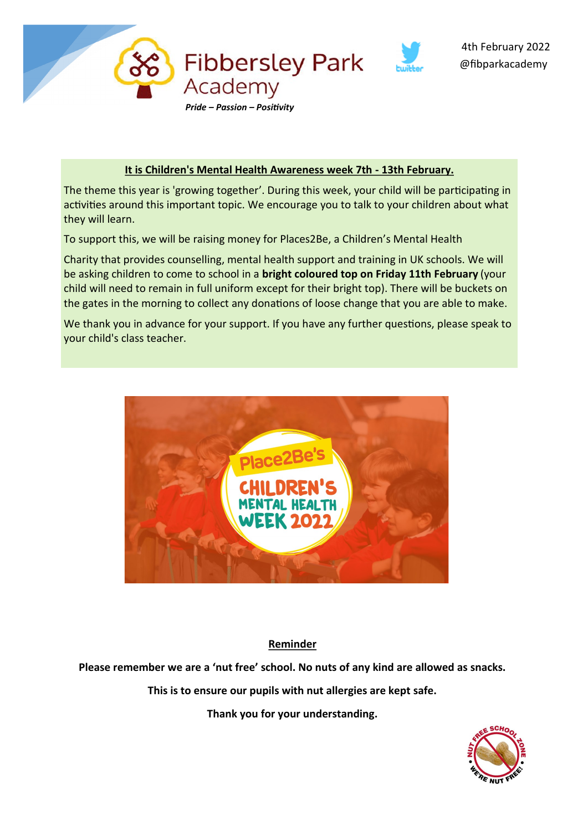

### **It is Children's Mental Health Awareness week 7th - 13th February.**

The theme this year is 'growing together'. During this week, your child will be participating in activities around this important topic. We encourage you to talk to your children about what they will learn.

To support this, we will be raising money for Places2Be, a Children's Mental Health

Charity that provides counselling, mental health support and training in UK schools. We will be asking children to come to school in a **bright coloured top on Friday 11th February** (your child will need to remain in full uniform except for their bright top). There will be buckets on the gates in the morning to collect any donations of loose change that you are able to make.

We thank you in advance for your support. If you have any further questions, please speak to your child's class teacher.



### **Reminder**

**Please remember we are a 'nut free' school. No nuts of any kind are allowed as snacks.** 

**This is to ensure our pupils with nut allergies are kept safe.** 

**Thank you for your understanding.**